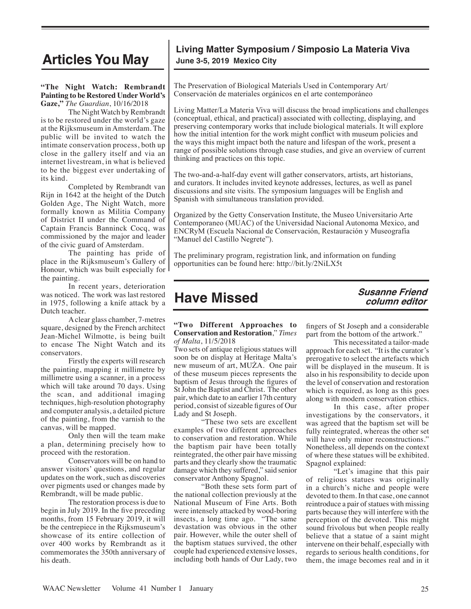# **Articles You May June 3-5, 2019 Mexico City**

#### **"The Night Watch: Rembrandt Painting to be Restored Under World's Gaze,"** *The Guardian*, 10/16/2018

The Night Watch by Rembrandt is to be restored under the world's gaze at the Rijksmuseum in Amsterdam. The public will be invited to watch the intimate conservation process, both up close in the gallery itself and via an internet livestream, in what is believed to be the biggest ever undertaking of its kind.

Completed by Rembrandt van Rijn in 1642 at the height of the Dutch Golden Age, The Night Watch, more formally known as Militia Company of District II under the Command of Captain Francis Banninck Cocq, was commissioned by the major and leader of the civic guard of Amsterdam.

The painting has pride of place in the Rijksmuseum's Gallery of Honour, which was built especially for the painting.

In recent years, deterioration was noticed. The work was last restored in 1975, following a knife attack by a Dutch teacher.

A clear glass chamber, 7-metres square, designed by the French architect Jean-Michel Wilmotte, is being built to encase The Night Watch and its conservators.

Firstly the experts will research the painting, mapping it millimetre by millimetre using a scanner, in a process which will take around 70 days. Using the scan, and additional imaging techniques, high-resolution photography and computer analysis, a detailed picture of the painting, from the varnish to the canvas, will be mapped.

Only then will the team make a plan, determining precisely how to proceed with the restoration.

Conservators will be on hand to answer visitors' questions, and regular updates on the work, such as discoveries over pigments used or changes made by Rembrandt, will be made public.

The restoration process is due to begin in July 2019. In the five preceding months, from 15 February 2019, it will be the centrepiece in the Rijksmuseum's showcase of its entire collection of over 400 works by Rembrandt as it commemorates the 350th anniversary of his death.

# **Living Matter Symposium / Simposio La Materia Viva**

The Preservation of Biological Materials Used in Contemporary Art/ Conservación de materiales orgánicos en el arte contemporáneo

Living Matter/La Materia Viva will discuss the broad implications and challenges (conceptual, ethical, and practical) associated with collecting, displaying, and preserving contemporary works that include biological materials. It will explore how the initial intention for the work might conflict with museum policies and the ways this might impact both the nature and lifespan of the work, present a range of possible solutions through case studies, and give an overview of current thinking and practices on this topic.

The two-and-a-half-day event will gather conservators, artists, art historians, and curators. It includes invited keynote addresses, lectures, as well as panel discussions and site visits. The symposium languages will be English and Spanish with simultaneous translation provided.

Organized by the Getty Conservation Institute, the Museo Universitario Arte Contemporaneo (MUAC) of the Universidad Nacional Autonoma Mexico, and ENCRyM (Escuela Nacional de Conservación, Restauración y Museografía "Manuel del Castillo Negrete").

The preliminary program, registration link, and information on funding opportunities can be found here: http://bit.ly/2NiLX5t

# **Have Missed**

# **Susanne Friend column editor**

#### **"Two Different Approaches to Conservation and Restoration**," *Times of Malta*, 11/5/2018

Two sets of antique religious statues will soon be on display at Heritage Malta's new museum of art, MUŻA. One pair of these museum pieces represents the baptism of Jesus through the figures of St John the Baptist and Christ. The other pair, which date to an earlier 17th century period, consist of sizeable figures of Our Lady and St Joseph.

"These two sets are excellent examples of two different approaches to conservation and restoration. While the baptism pair have been totally reintegrated, the other pair have missing parts and they clearly show the traumatic damage which they suffered," said senior conservator Anthony Spagnol.

"Both these sets form part of the national collection previously at the National Museum of Fine Arts. Both were intensely attacked by wood-boring insects, a long time ago. "The same devastation was obvious in the other pair. However, while the outer shell of the baptism statues survived, the other couple had experienced extensive losses, including both hands of Our Lady, two fingers of St Joseph and a considerable part from the bottom of the artwork."

This necessitated a tailor-made approach for each set. "It is the curator's prerogative to select the artefacts which will be displayed in the museum. It is also in his responsibility to decide upon the level of conservation and restoration which is required, as long as this goes along with modern conservation ethics.

In this case, after proper investigations by the conservators, it was agreed that the baptism set will be fully reintegrated, whereas the other set will have only minor reconstructions." Nonetheless, all depends on the context of where these statues will be exhibited. Spagnol explained:

"Let's imagine that this pair of religious statues was originally in a church's niche and people were devoted to them. In that case, one cannot reintroduce a pair of statues with missing parts because they will interfere with the perception of the devoted. This might sound frivolous but when people really believe that a statue of a saint might intervene on their behalf, especially with regards to serious health conditions, for them, the image becomes real and in it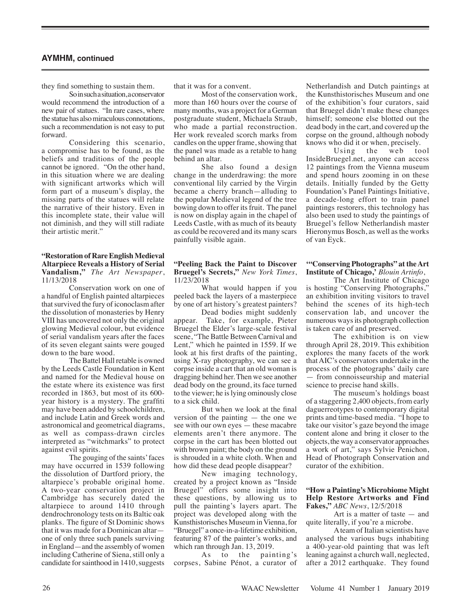## **AYMHM, continued**

they find something to sustain them. So in such a situation, a conservator

would recommend the introduction of a new pair of statues. "In rare cases, where the statue has also miraculous connotations, such a recommendation is not easy to put forward.

Considering this scenario, a compromise has to be found, as the beliefs and traditions of the people cannot be ignored. "On the other hand, in this situation where we are dealing with significant artworks which will form part of a museum's display, the missing parts of the statues will relate the narrative of their history. Even in this incomplete state, their value will not diminish, and they will still radiate their artistic merit."

#### **"Restoration of Rare English Medieval Altarpiece Reveals a History of Serial Vandalism,"** *The Art Newspaper*, 11/13/2018

Conservation work on one of a handful of English painted altarpieces that survived the fury of iconoclasm after the dissolution of monasteries by Henry VIII has uncovered not only the original glowing Medieval colour, but evidence of serial vandalism years after the faces of its seven elegant saints were gouged down to the bare wood.

The Battel Hall retable is owned by the Leeds Castle Foundation in Kent and named for the Medieval house on the estate where its existence was first recorded in 1863, but most of its 600 year history is a mystery. The graffiti may have been added by schoolchildren, and include Latin and Greek words and astronomical and geometrical diagrams, as well as compass-drawn circles interpreted as "witchmarks" to protect against evil spirits.

The gouging of the saints' faces may have occurred in 1539 following the dissolution of Dartford priory, the altarpiece's probable original home. A two-year conservation project in Cambridge has securely dated the altarpiece to around 1410 through dendrochronology tests on its Baltic oak planks. The figure of St Dominic shows that it was made for a Dominican altar one of only three such panels surviving in England—and the assembly of women including Catherine of Siena, still only a candidate for sainthood in 1410, suggests

that it was for a convent.

Most of the conservation work, more than 160 hours over the course of many months, was a project for a German postgraduate student, Michaela Straub, who made a partial reconstruction. Her work revealed scorch marks from candles on the upper frame, showing that the panel was made as a retable to hang behind an altar.

She also found a design change in the underdrawing: the more conventional lily carried by the Virgin became a cherry branch—alluding to the popular Medieval legend of the tree bowing down to offer its fruit. The panel is now on display again in the chapel of Leeds Castle, with as much of its beauty as could be recovered and its many scars painfully visible again.

#### **"Peeling Back the Paint to Discover Bruegel's Secrets,"** *New York Times*, 11/23/2018

What would happen if you peeled back the layers of a masterpiece by one of art history's greatest painters?

Dead bodies might suddenly appear. Take, for example, Pieter Bruegel the Elder's large-scale festival scene, "The Battle Between Carnival and Lent," which he painted in 1559. If we look at his first drafts of the painting, using X-ray photography, we can see a corpse inside a cart that an old woman is dragging behind her. Then we see another dead body on the ground, its face turned to the viewer; he is lying ominously close to a sick child.

But when we look at the final version of the painting — the one we see with our own eyes — these macabre elements aren't there anymore. The corpse in the cart has been blotted out with brown paint; the body on the ground is shrouded in a white cloth. When and how did these dead people disappear?

New imaging technology, created by a project known as "Inside Bruegel" offers some insight into these questions, by allowing us to pull the painting's layers apart. The project was developed along with the Kunsthistorisches Museum in Vienna, for "Bruegel" a once-in-a-lifetime exhibition, featuring 87 of the painter's works, and which ran through Jan. 13, 2019.

As to the painting's corpses, Sabine Pénot, a curator of Netherlandish and Dutch paintings at the Kunsthistorisches Museum and one of the exhibition's four curators, said that Bruegel didn't make these changes himself; someone else blotted out the dead body in the cart, and covered up the corpse on the ground, although nobody

knows who did it or when, precisely.<br>Using the web to Using the web tool InsideBruegel.net, anyone can access 12 paintings from the Vienna museum and spend hours zooming in on these details. Initially funded by the Getty Foundation's Panel Paintings Initiative, a decade-long effort to train panel paintings restorers, this technology has also been used to study the paintings of Bruegel's fellow Netherlandish master Hieronymus Bosch, as well as the works of van Eyck.

#### **'"Conserving Photographs" at the Art Institute of Chicago,'** *Blouin Artinfo*,

The Art Institute of Chicago is hosting "Conserving Photographs," an exhibition inviting visitors to travel behind the scenes of its high-tech conservation lab, and uncover the numerous ways its photograph collection is taken care of and preserved.

The exhibition is on view through April 28, 2019. This exhibition explores the many facets of the work that AIC's conservators undertake in the process of the photographs' daily care — from connoisseurship and material science to precise hand skills.

The museum's holdings boast of a staggering 2,400 objects, from early daguerreotypes to contemporary digital prints and time-based media. "I hope to take our visitor's gaze beyond the image content alone and bring it closer to the objects, the way a conservator approaches a work of art," says Sylvie Penichon, Head of Photograph Conservation and curator of the exhibition.

#### **"How a Painting's Microbiome Might Help Restore Artworks and Find Fakes,"** *ABC News*, 12/5/2018

Art is a matter of taste — and quite literally, if you're a microbe.

A team of Italian scientists have analysed the various bugs inhabiting a 400-year-old painting that was left leaning against a church wall, neglected, after a 2012 earthquake. They found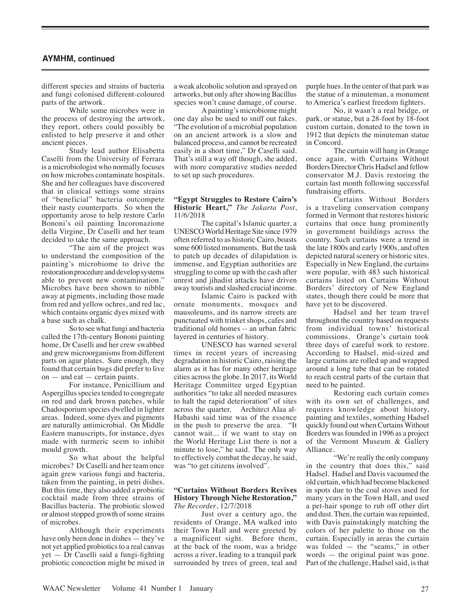## **AYMHM, continued**

different species and strains of bacteria and fungi colonised different-coloured parts of the artwork.

While some microbes were in the process of destroying the artwork, they report, others could possibly be enlisted to help preserve it and other ancient pieces.

Study lead author Elisabetta Caselli from the University of Ferrara is a microbiologist who normally focuses on how microbes contaminate hospitals. She and her colleagues have discovered that in clinical settings some strains of "beneficial" bacteria outcompete their nasty counterparts. So when the opportunity arose to help restore Carlo Bononi's oil painting Incoronazione della Virgine, Dr Caselli and her team decided to take the same approach.

"The aim of the project was to understand the composition of the painting's microbiome to drive the restoration procedure and develop systems able to prevent new contamination." Microbes have been shown to nibble away at pigments, including those made from red and yellow ochres, and red lac, which contains organic dyes mixed with a base such as chalk.

So to see what fungi and bacteria called the 17th-century Bononi painting home, Dr Caselli and her crew swabbed and grew microorganisms from different parts on agar plates. Sure enough, they found that certain bugs did prefer to live on — and eat — certain paints.

For instance, Penicillium and Aspergillus species tended to congregate on red and dark brown patches, while Chadosporium species dwelled in lighter areas. Indeed, some dyes and pigments are naturally antimicrobial. On Middle Eastern manuscripts, for instance, dyes made with turmeric seem to inhibit mould growth.

So what about the helpful microbes? Dr Caselli and her team once again grew various fungi and bacteria, taken from the painting, in petri dishes. But this time, they also added a probiotic cocktail made from three strains of Bacillus bacteria. The probiotic slowed or almost stopped growth of some strains of microbes.

Although their experiments have only been done in dishes — they've not yet applied probiotics to a real canvas yet — Dr Caselli said a fungi-fighting probiotic concoction might be mixed in

a weak alcoholic solution and sprayed on artworks, but only after showing Bacillus species won't cause damage, of course.

A painting's microbiome might one day also be used to sniff out fakes. "The evolution of a microbial population on an ancient artwork is a slow and balanced process, and cannot be recreated easily in a short time," Dr Caselli said. That's still a way off though, she added, with more comparative studies needed to set up such procedures.

#### **"Egypt Struggles to Restore Cairo's Historic Heart,"** *The Jakarta Post*, 11/6/2018

The capital's Islamic quarter, a UNESCO World Heritage Site since 1979 often referred to as historic Cairo, boasts some 600 listed monuments. But the task to patch up decades of dilapidation is immense, and Egyptian authorities are struggling to come up with the cash after unrest and jihadist attacks have driven away tourists and slashed crucial income.

Islamic Cairo is packed with ornate monuments, mosques and mausoleums, and its narrow streets are punctuated with trinket shops, cafes and traditional old homes -- an urban fabric layered in centuries of history.

UNESCO has warned several times in recent years of increasing degradation in historic Cairo, raising the alarm as it has for many other heritage cities across the globe. In 2017, its World Heritage Committee urged Egyptian authorities "to take all needed measures to halt the rapid deterioration" of sites across the quarter. Architect Alaa al-Habashi said time was of the essence in the push to preserve the area. "It cannot wait... if we want to stay on the World Heritage List there is not a minute to lose," he said. The only way to effectively combat the decay, he said, was "to get citizens involved".

#### **"Curtains Without Borders Revives History Through Niche Restoration,"** *The Recorder*, 12/7/2018

Just over a century ago, the residents of Orange, MA walked into their Town Hall and were greeted by a magnificent sight. Before them, at the back of the room, was a bridge across a river, leading to a tranquil park surrounded by trees of green, teal and purple hues. In the center of that park was the statue of a minuteman, a monument to America's earliest freedom fighters.

No, it wasn't a real bridge, or park, or statue, but a 28-foot by 18-foot custom curtain, donated to the town in 1912 that depicts the minuteman statue in Concord.

The curtain will hang in Orange once again, with Curtains Without Borders Director Chris Hadsel and fellow conservator M.J. Davis restoring the curtain last month following successful fundraising efforts.

Curtains Without Borders is a traveling conservation company formed in Vermont that restores historic curtains that once hung prominently in government buildings across the country. Such curtains were a trend in the late 1800s and early 1900s, and often depicted natural scenery or historic sites. Especially in New England, the curtains were popular, with 483 such historical curtains listed on Curtains Without Borders' directory of New England states, though there could be more that have yet to be discovered.

Hadsel and her team travel throughout the country based on requests from individual towns' historical commissions. Orange's curtain took three days of careful work to restore. According to Hadsel, mid-sized and large curtains are rolled up and wrapped around a long tube that can be rotated to reach central parts of the curtain that need to be painted.

Restoring each curtain comes with its own set of challenges, and requires knowledge about history, painting and textiles, something Hadsel quickly found out when Curtains Without Borders was founded in 1996 as a project of the Vermont Museum & Gallery Alliance.

"We're really the only company in the country that does this," said Hadsel. Hadsel and Davis vacuumed the old curtain, which had become blackened in spots due to the coal stoves used for many years in the Town Hall, and used a pet-hair sponge to rub off other dirt and dust. Then, the curtain was repainted, with Davis painstakingly matching the colors of her palette to those on the curtain. Especially in areas the curtain was folded — the "seams," in other words — the original paint was gone. Part of the challenge, Hadsel said, is that